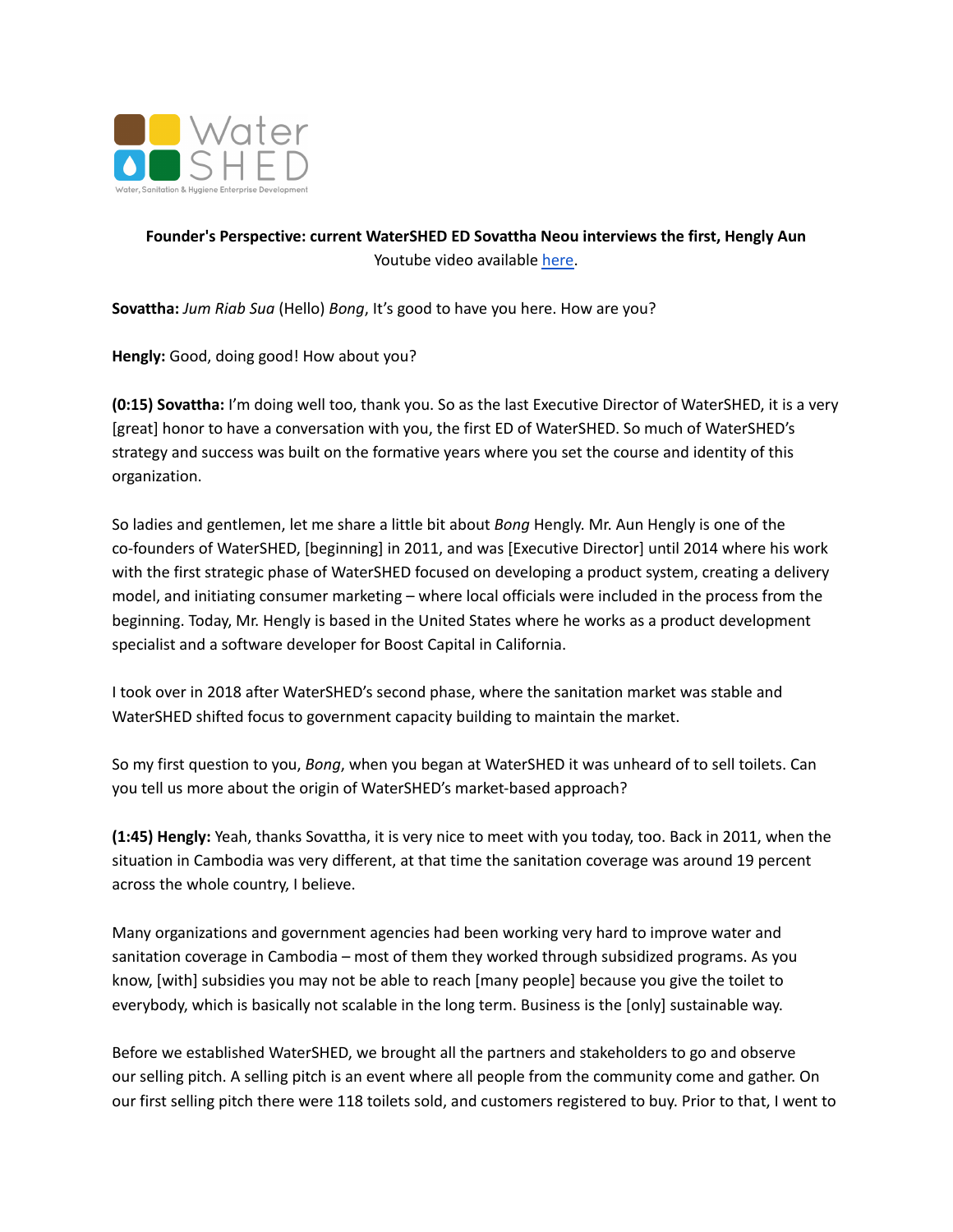

## **Founder's Perspective: current WaterSHED ED Sovattha Neou interviews the first, Hengly Aun** Youtube video available [here.](https://www.youtube.com/watch?v=8rokWFd_jrk)

**Sovattha:** *Jum Riab Sua* (Hello) *Bong*, It's good to have you here. How are you?

Hengly: Good, doing good! How about you?

**(0:15) Sovattha:** I'm doing well too, thank you. So as the last Executive Director of WaterSHED, it is a very [great] honor to have a conversation with you, the first ED of WaterSHED. So much of WaterSHED's strategy and success was built on the formative years where you set the course and identity of this organization.

So ladies and gentlemen, let me share a little bit about *Bong* Hengly. Mr. Aun Hengly is one of the co-founders of WaterSHED, [beginning] in 2011, and was [Executive Director] until 2014 where his work with the first strategic phase of WaterSHED focused on developing a product system, creating a delivery model, and initiating consumer marketing – where local officials were included in the process from the beginning. Today, Mr. Hengly is based in the United States where he works as a product development specialist and a software developer for Boost Capital in California.

I took over in 2018 after WaterSHED's second phase, where the sanitation market was stable and WaterSHED shifted focus to government capacity building to maintain the market.

So my first question to you, *Bong*, when you began at WaterSHED it was unheard of to sell toilets. Can you tell us more about the origin of WaterSHED's market-based approach?

**(1:45) Hengly:** Yeah, thanks Sovattha, it is very nice to meet with you today, too. Back in 2011, when the situation in Cambodia was very different, at that time the sanitation coverage was around 19 percent across the whole country, I believe.

Many organizations and government agencies had been working very hard to improve water and sanitation coverage in Cambodia – most of them they worked through subsidized programs. As you know, [with] subsidies you may not be able to reach [many people] because you give the toilet to everybody, which is basically not scalable in the long term. Business is the [only] sustainable way.

Before we established WaterSHED, we brought all the partners and stakeholders to go and observe our selling pitch. A selling pitch is an event where all people from the community come and gather. On our first selling pitch there were 118 toilets sold, and customers registered to buy. Prior to that, I went to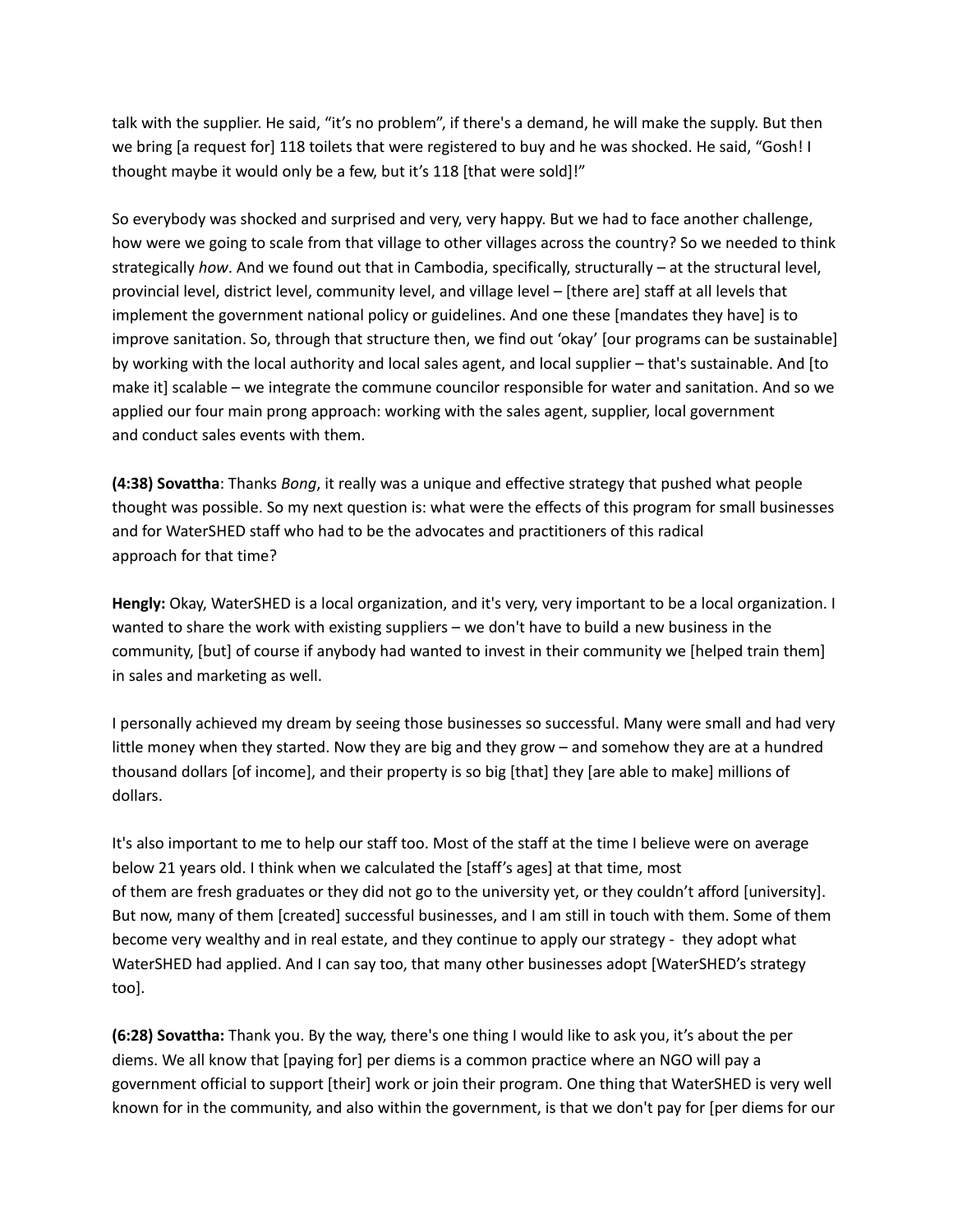talk with the supplier. He said, "it's no problem", if there's a demand, he will make the supply. But then we bring [a request for] 118 toilets that were registered to buy and he was shocked. He said, "Gosh! I thought maybe it would only be a few, but it's 118 [that were sold]!"

So everybody was shocked and surprised and very, very happy. But we had to face another challenge, how were we going to scale from that village to other villages across the country? So we needed to think strategically *how*. And we found out that in Cambodia, specifically, structurally – at the structural level, provincial level, district level, community level, and village level – [there are] staff at all levels that implement the government national policy or guidelines. And one these [mandates they have] is to improve sanitation. So, through that structure then, we find out 'okay' [our programs can be sustainable] by working with the local authority and local sales agent, and local supplier – that's sustainable. And [to make it] scalable – we integrate the commune councilor responsible for water and sanitation. And so we applied our four main prong approach: working with the sales agent, supplier, local government and conduct sales events with them.

**(4:38) Sovattha**: Thanks *Bong*, it really was a unique and effective strategy that pushed what people thought was possible. So my next question is: what were the effects of this program for small businesses and for WaterSHED staff who had to be the advocates and practitioners of this radical approach for that time?

**Hengly:** Okay, WaterSHED is a local organization, and it's very, very important to be a local organization. I wanted to share the work with existing suppliers – we don't have to build a new business in the community, [but] of course if anybody had wanted to invest in their community we [helped train them] in sales and marketing as well.

I personally achieved my dream by seeing those businesses so successful. Many were small and had very little money when they started. Now they are big and they grow – and somehow they are at a hundred thousand dollars [of income], and their property is so big [that] they [are able to make] millions of dollars.

It's also important to me to help our staff too. Most of the staff at the time I believe were on average below 21 years old. I think when we calculated the [staff's ages] at that time, most of them are fresh graduates or they did not go to the university yet, or they couldn't afford [university]. But now, many of them [created] successful businesses, and I am still in touch with them. Some of them become very wealthy and in real estate, and they continue to apply our strategy - they adopt what WaterSHED had applied. And I can say too, that many other businesses adopt [WaterSHED's strategy too].

**(6:28) Sovattha:** Thank you. By the way, there's one thing I would like to ask you, it's about the per diems. We all know that [paying for] per diems is a common practice where an NGO will pay a government official to support [their] work or join their program. One thing that WaterSHED is very well known for in the community, and also within the government, is that we don't pay for [per diems for our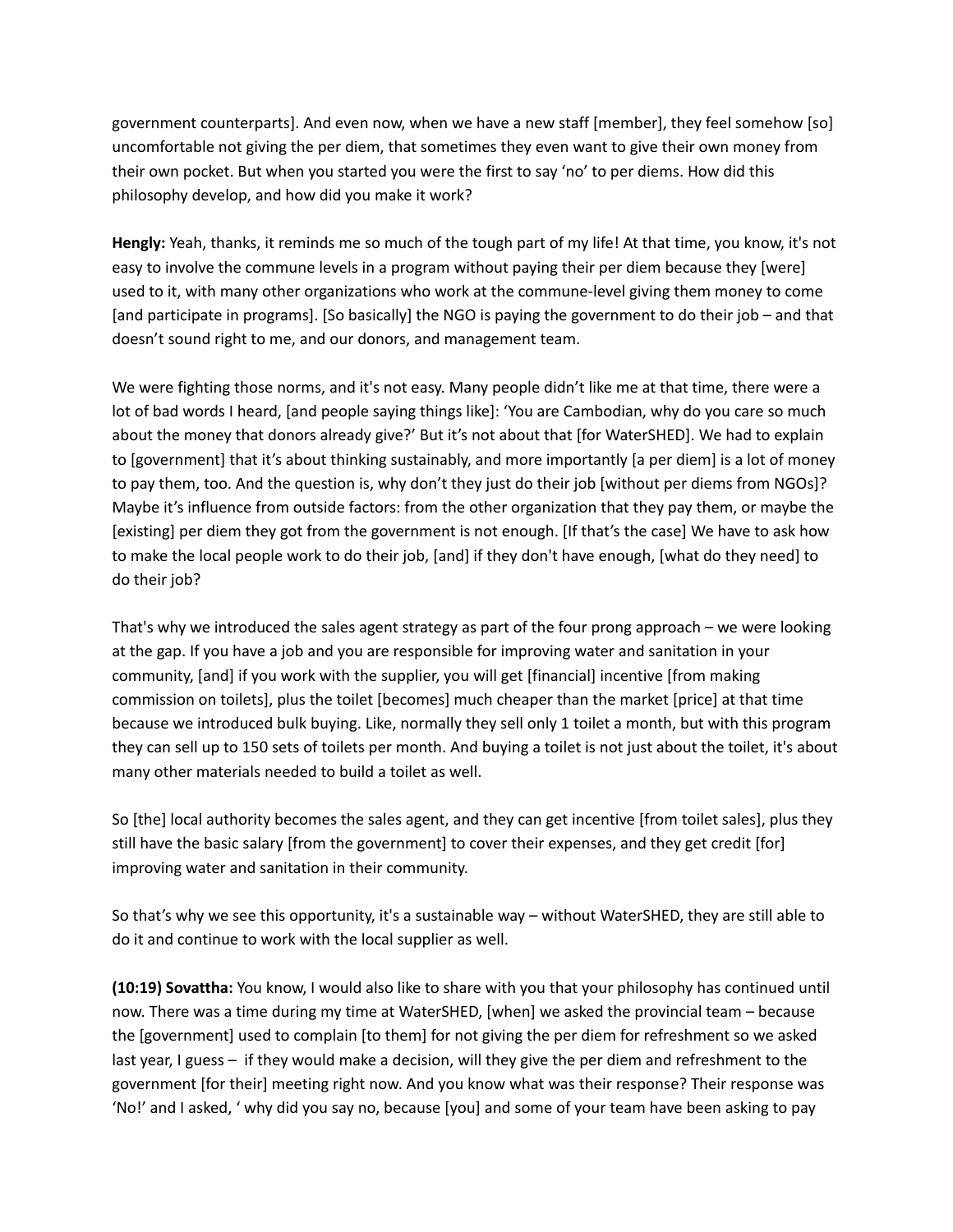government counterparts]. And even now, when we have a new staff [member], they feel somehow [so] uncomfortable not giving the per diem, that sometimes they even want to give their own money from their own pocket. But when you started you were the first to say 'no' to per diems. How did this philosophy develop, and how did you make it work?

**Hengly:** Yeah, thanks, it reminds me so much of the tough part of my life! At that time, you know, it's not easy to involve the commune levels in a program without paying their per diem because they [were] used to it, with many other organizations who work at the commune-level giving them money to come [and participate in programs]. [So basically] the NGO is paying the government to do their job – and that doesn't sound right to me, and our donors, and management team.

We were fighting those norms, and it's not easy. Many people didn't like me at that time, there were a lot of bad words I heard, [and people saying things like]: 'You are Cambodian, why do you care so much about the money that donors already give?' But it's not about that [for WaterSHED]. We had to explain to [government] that it's about thinking sustainably, and more importantly [a per diem] is a lot of money to pay them, too. And the question is, why don't they just do their job [without per diems from NGOs]? Maybe it's influence from outside factors: from the other organization that they pay them, or maybe the [existing] per diem they got from the government is not enough. [If that's the case] We have to ask how to make the local people work to do their job, [and] if they don't have enough, [what do they need] to do their job?

That's why we introduced the sales agent strategy as part of the four prong approach – we were looking at the gap. If you have a job and you are responsible for improving water and sanitation in your community, [and] if you work with the supplier, you will get [financial] incentive [from making commission on toilets], plus the toilet [becomes] much cheaper than the market [price] at that time because we introduced bulk buying. Like, normally they sell only 1 toilet a month, but with this program they can sell up to 150 sets of toilets per month. And buying a toilet is not just about the toilet, it's about many other materials needed to build a toilet as well.

So [the] local authority becomes the sales agent, and they can get incentive [from toilet sales], plus they still have the basic salary [from the government] to cover their expenses, and they get credit [for] improving water and sanitation in their community.

So that's why we see this opportunity, it's a sustainable way – without WaterSHED, they are still able to do it and continue to work with the local supplier as well.

**(10:19) Sovattha:** You know, I would also like to share with you that your philosophy has continued until now. There was a time during my time at WaterSHED, [when] we asked the provincial team – because the [government] used to complain [to them] for not giving the per diem for refreshment so we asked last year, I guess – if they would make a decision, will they give the per diem and refreshment to the government [for their] meeting right now. And you know what was their response? Their response was 'No!' and I asked, ' why did you say no, because [you] and some of your team have been asking to pay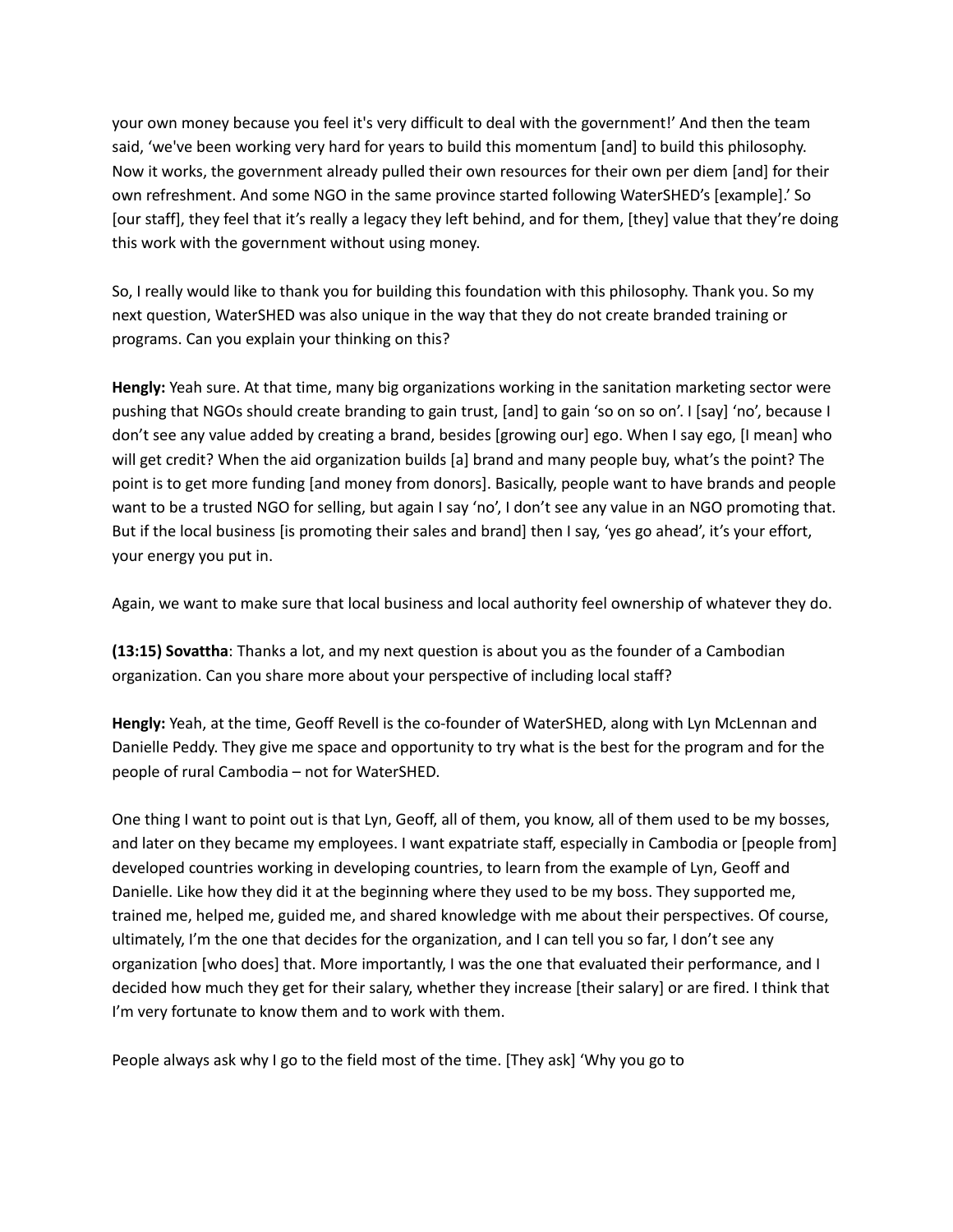your own money because you feel it's very difficult to deal with the government!' And then the team said, 'we've been working very hard for years to build this momentum [and] to build this philosophy. Now it works, the government already pulled their own resources for their own per diem [and] for their own refreshment. And some NGO in the same province started following WaterSHED's [example].' So [our staff], they feel that it's really a legacy they left behind, and for them, [they] value that they're doing this work with the government without using money.

So, I really would like to thank you for building this foundation with this philosophy. Thank you. So my next question, WaterSHED was also unique in the way that they do not create branded training or programs. Can you explain your thinking on this?

**Hengly:** Yeah sure. At that time, many big organizations working in the sanitation marketing sector were pushing that NGOs should create branding to gain trust, [and] to gain 'so on so on'. I [say] 'no', because I don't see any value added by creating a brand, besides [growing our] ego. When I say ego, [I mean] who will get credit? When the aid organization builds [a] brand and many people buy, what's the point? The point is to get more funding [and money from donors]. Basically, people want to have brands and people want to be a trusted NGO for selling, but again I say 'no', I don't see any value in an NGO promoting that. But if the local business [is promoting their sales and brand] then I say, 'yes go ahead', it's your effort, your energy you put in.

Again, we want to make sure that local business and local authority feel ownership of whatever they do.

**(13:15) Sovattha**: Thanks a lot, and my next question is about you as the founder of a Cambodian organization. Can you share more about your perspective of including local staff?

**Hengly:** Yeah, at the time, Geoff Revell is the co-founder of WaterSHED, along with Lyn McLennan and Danielle Peddy. They give me space and opportunity to try what is the best for the program and for the people of rural Cambodia – not for WaterSHED.

One thing I want to point out is that Lyn, Geoff, all of them, you know, all of them used to be my bosses, and later on they became my employees. I want expatriate staff, especially in Cambodia or [people from] developed countries working in developing countries, to learn from the example of Lyn, Geoff and Danielle. Like how they did it at the beginning where they used to be my boss. They supported me, trained me, helped me, guided me, and shared knowledge with me about their perspectives. Of course, ultimately, I'm the one that decides for the organization, and I can tell you so far, I don't see any organization [who does] that. More importantly, I was the one that evaluated their performance, and I decided how much they get for their salary, whether they increase [their salary] or are fired. I think that I'm very fortunate to know them and to work with them.

People always ask why I go to the field most of the time. [They ask] 'Why you go to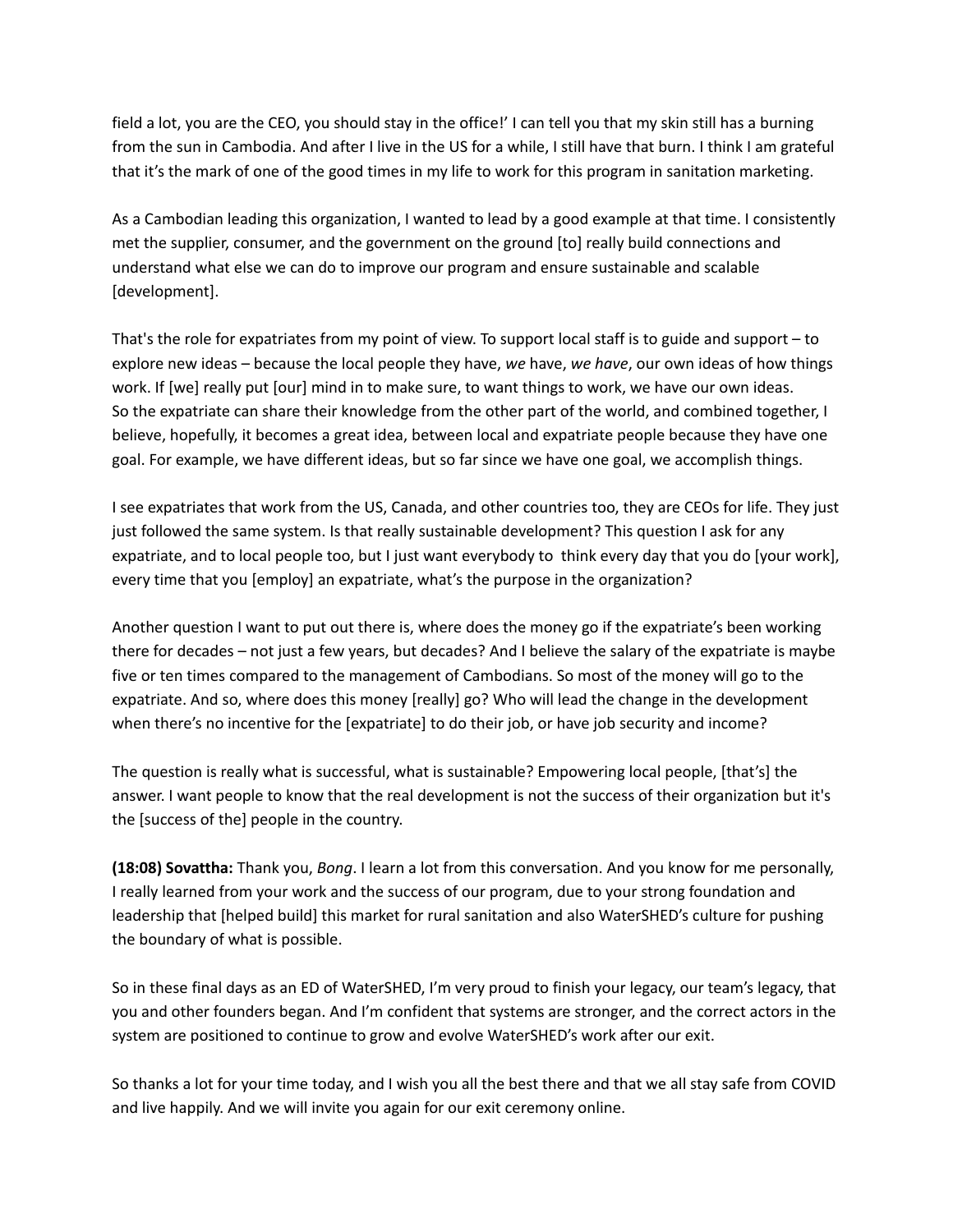field a lot, you are the CEO, you should stay in the office!' I can tell you that my skin still has a burning from the sun in Cambodia. And after I live in the US for a while, I still have that burn. I think I am grateful that it's the mark of one of the good times in my life to work for this program in sanitation marketing.

As a Cambodian leading this organization, I wanted to lead by a good example at that time. I consistently met the supplier, consumer, and the government on the ground [to] really build connections and understand what else we can do to improve our program and ensure sustainable and scalable [development].

That's the role for expatriates from my point of view. To support local staff is to guide and support – to explore new ideas – because the local people they have, *we* have, *we have*, our own ideas of how things work. If [we] really put [our] mind in to make sure, to want things to work, we have our own ideas. So the expatriate can share their knowledge from the other part of the world, and combined together, I believe, hopefully, it becomes a great idea, between local and expatriate people because they have one goal. For example, we have different ideas, but so far since we have one goal, we accomplish things.

I see expatriates that work from the US, Canada, and other countries too, they are CEOs for life. They just just followed the same system. Is that really sustainable development? This question I ask for any expatriate, and to local people too, but I just want everybody to think every day that you do [your work], every time that you [employ] an expatriate, what's the purpose in the organization?

Another question I want to put out there is, where does the money go if the expatriate's been working there for decades – not just a few years, but decades? And I believe the salary of the expatriate is maybe five or ten times compared to the management of Cambodians. So most of the money will go to the expatriate. And so, where does this money [really] go? Who will lead the change in the development when there's no incentive for the [expatriate] to do their job, or have job security and income?

The question is really what is successful, what is sustainable? Empowering local people, [that's] the answer. I want people to know that the real development is not the success of their organization but it's the [success of the] people in the country.

**(18:08) Sovattha:** Thank you, *Bong*. I learn a lot from this conversation. And you know for me personally, I really learned from your work and the success of our program, due to your strong foundation and leadership that [helped build] this market for rural sanitation and also WaterSHED's culture for pushing the boundary of what is possible.

So in these final days as an ED of WaterSHED, I'm very proud to finish your legacy, our team's legacy, that you and other founders began. And I'm confident that systems are stronger, and the correct actors in the system are positioned to continue to grow and evolve WaterSHED's work after our exit.

So thanks a lot for your time today, and I wish you all the best there and that we all stay safe from COVID and live happily. And we will invite you again for our exit ceremony online.